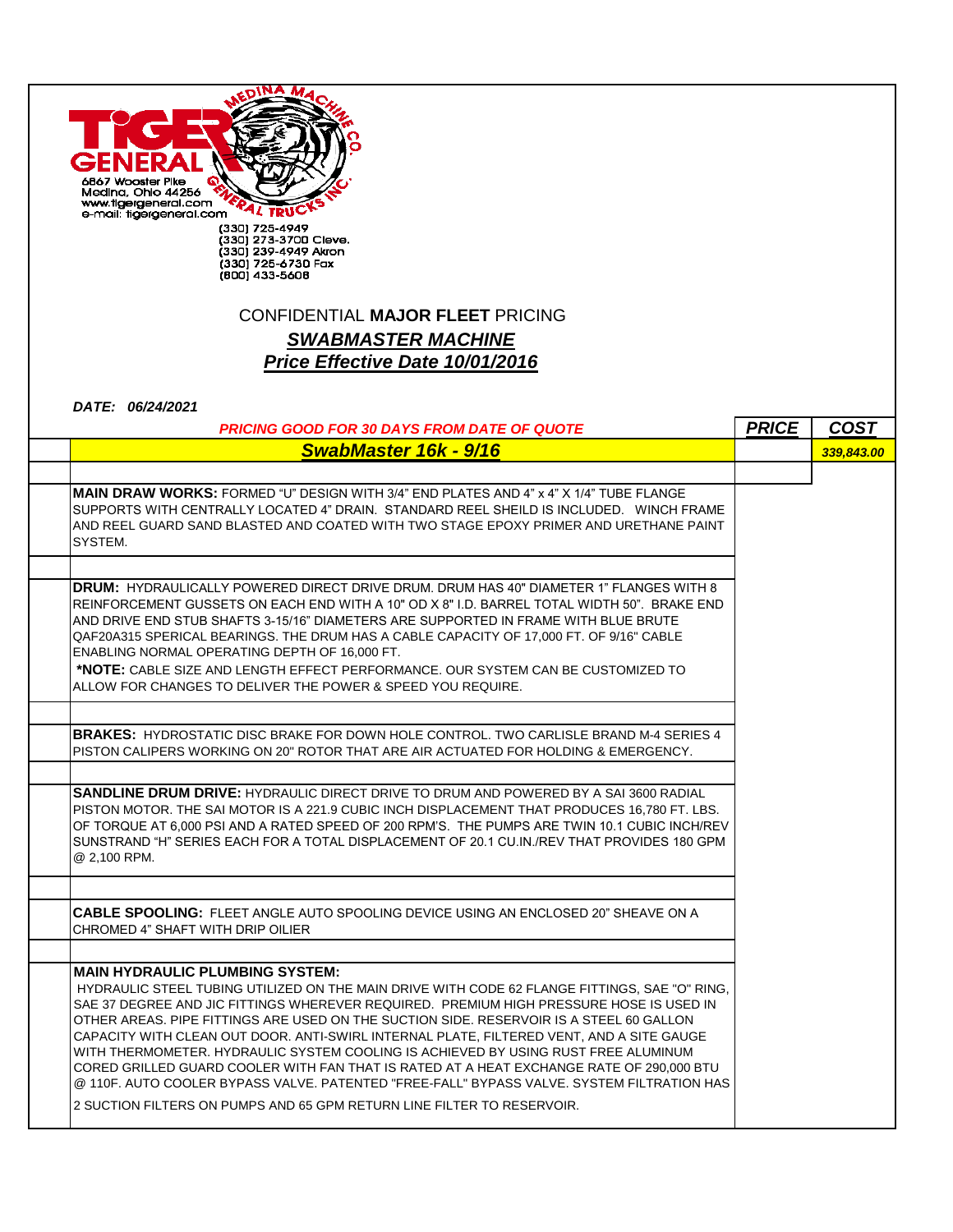| 6867 Wooster Pike<br>Medina, Ohio 44256<br>www.tigergeneral.com<br>e-mail: tigergeneral.com<br>(330) 725-4949<br>(330) 273-3700 Cleve.<br>(330) 239-4949 Akron<br>(330) 725-6730 Fax<br>(800) 433-5608                                                                                                                                                                                                                                                                                                          |              |             |
|-----------------------------------------------------------------------------------------------------------------------------------------------------------------------------------------------------------------------------------------------------------------------------------------------------------------------------------------------------------------------------------------------------------------------------------------------------------------------------------------------------------------|--------------|-------------|
| <b>CONFIDENTIAL MAJOR FLEET PRICING</b>                                                                                                                                                                                                                                                                                                                                                                                                                                                                         |              |             |
| <b>SWABMASTER MACHINE</b>                                                                                                                                                                                                                                                                                                                                                                                                                                                                                       |              |             |
|                                                                                                                                                                                                                                                                                                                                                                                                                                                                                                                 |              |             |
| Price Effective Date 10/01/2016                                                                                                                                                                                                                                                                                                                                                                                                                                                                                 |              |             |
| DATE: 06/24/2021                                                                                                                                                                                                                                                                                                                                                                                                                                                                                                |              |             |
| <b>PRICING GOOD FOR 30 DAYS FROM DATE OF QUOTE</b>                                                                                                                                                                                                                                                                                                                                                                                                                                                              | <b>PRICE</b> | <b>COST</b> |
| <b>SwabMaster 16k - 9/16</b>                                                                                                                                                                                                                                                                                                                                                                                                                                                                                    |              | 339,843.00  |
|                                                                                                                                                                                                                                                                                                                                                                                                                                                                                                                 |              |             |
| <b>MAIN DRAW WORKS:</b> FORMED "U" DESIGN WITH 3/4" END PLATES AND 4" x 4" X 1/4" TUBE FLANGE<br>SUPPORTS WITH CENTRALLY LOCATED 4" DRAIN. STANDARD REEL SHEILD IS INCLUDED. WINCH FRAME<br>AND REEL GUARD SAND BLASTED AND COATED WITH TWO STAGE EPOXY PRIMER AND URETHANE PAINT<br>SYSTEM.                                                                                                                                                                                                                    |              |             |
| <b>DRUM: HYDRAULICALLY POWERED DIRECT DRIVE DRUM. DRUM HAS 40" DIAMETER 1" FLANGES WITH 8</b>                                                                                                                                                                                                                                                                                                                                                                                                                   |              |             |
| REINFORCEMENT GUSSETS ON EACH END WITH A 10" OD X 8" I.D. BARREL TOTAL WIDTH 50".  BRAKE END<br>AND DRIVE END STUB SHAFTS 3-15/16" DIAMETERS ARE SUPPORTED IN FRAME WITH BLUE BRUTE<br>QAF20A315 SPERICAL BEARINGS. THE DRUM HAS A CABLE CAPACITY OF 17,000 FT. OF 9/16" CABLE<br>ENABLING NORMAL OPERATING DEPTH OF 16,000 FT.<br>*NOTE: CABLE SIZE AND LENGTH EFFECT PERFORMANCE. OUR SYSTEM CAN BE CUSTOMIZED TO<br>ALLOW FOR CHANGES TO DELIVER THE POWER & SPEED YOU REQUIRE.                              |              |             |
|                                                                                                                                                                                                                                                                                                                                                                                                                                                                                                                 |              |             |
| <b>BRAKES:</b> HYDROSTATIC DISC BRAKE FOR DOWN HOLE CONTROL. TWO CARLISLE BRAND M-4 SERIES 4<br>PISTON CALIPERS WORKING ON 20" ROTOR THAT ARE AIR ACTUATED FOR HOLDING & EMERGENCY.                                                                                                                                                                                                                                                                                                                             |              |             |
| <b>SANDLINE DRUM DRIVE:</b> HYDRAULIC DIRECT DRIVE TO DRUM AND POWERED BY A SAI 3600 RADIAL<br>PISTON MOTOR. THE SAI MOTOR IS A 221.9 CUBIC INCH DISPLACEMENT THAT PRODUCES 16,780 FT. LBS.<br>OF TORQUE AT 6,000 PSI AND A RATED SPEED OF 200 RPM'S. THE PUMPS ARE TWIN 10.1 CUBIC INCH/REV<br>SUNSTRAND "H" SERIES EACH FOR A TOTAL DISPLACEMENT OF 20.1 CU.IN./REV THAT PROVIDES 180 GPM<br>@ 2,100 RPM.                                                                                                     |              |             |
|                                                                                                                                                                                                                                                                                                                                                                                                                                                                                                                 |              |             |
| <b>CABLE SPOOLING:</b> FLEET ANGLE AUTO SPOOLING DEVICE USING AN ENCLOSED 20" SHEAVE ON A<br>CHROMED 4" SHAFT WITH DRIP OILIER                                                                                                                                                                                                                                                                                                                                                                                  |              |             |
|                                                                                                                                                                                                                                                                                                                                                                                                                                                                                                                 |              |             |
| <b>MAIN HYDRAULIC PLUMBING SYSTEM:</b><br>HYDRAULIC STEEL TUBING UTILIZED ON THE MAIN DRIVE WITH CODE 62 FLANGE FITTINGS, SAE "O" RING,<br>SAE 37 DEGREE AND JIC FITTINGS WHEREVER REQUIRED. PREMIUM HIGH PRESSURE HOSE IS USED IN<br>OTHER AREAS. PIPE FITTINGS ARE USED ON THE SUCTION SIDE. RESERVOIR IS A STEEL 60 GALLON<br>CAPACITY WITH CLEAN OUT DOOR. ANTI-SWIRL INTERNAL PLATE, FILTERED VENT, AND A SITE GAUGE<br>WITH THERMOMETER. HYDRAULIC SYSTEM COOLING IS ACHIEVED BY USING RUST FREE ALUMINUM |              |             |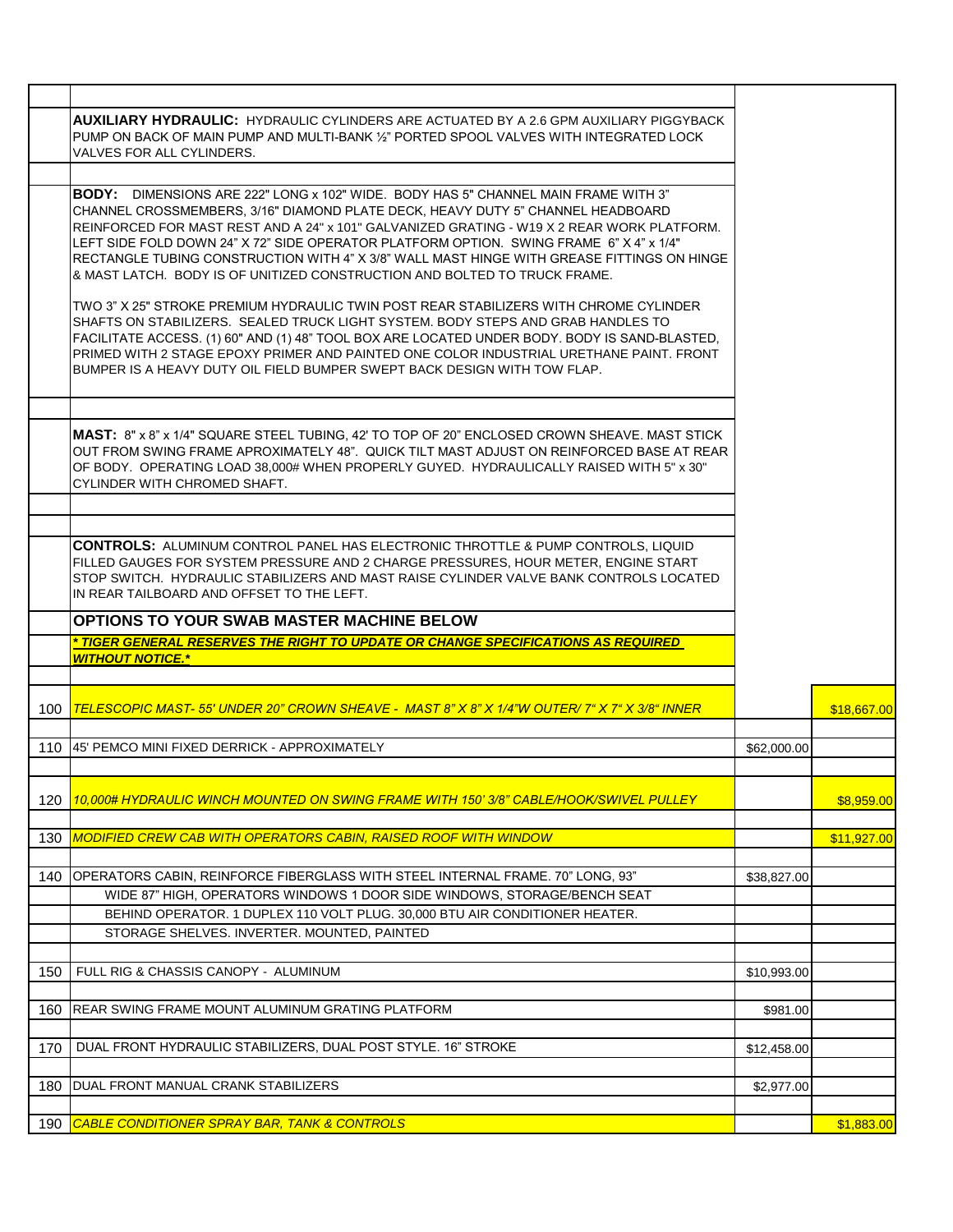| 140 | OPERATORS CABIN, REINFORCE FIBERGLASS WITH STEEL INTERNAL FRAME. 70" LONG, 93"                                                                                                                                                                                                                                                                                           | \$38,827.00 |             |
|-----|--------------------------------------------------------------------------------------------------------------------------------------------------------------------------------------------------------------------------------------------------------------------------------------------------------------------------------------------------------------------------|-------------|-------------|
|     |                                                                                                                                                                                                                                                                                                                                                                          |             |             |
| 130 | <b>MODIFIED CREW CAB WITH OPERATORS CABIN, RAISED ROOF WITH WINDOW</b>                                                                                                                                                                                                                                                                                                   |             | \$11,927.00 |
| 120 | <u>10.000# HYDRAULIC WINCH MOUNTED ON SWING FRAME WITH 150' 3/8" CABLE/HOOK/SWIVEL PULLEY</u>                                                                                                                                                                                                                                                                            |             | \$8,959.00  |
|     |                                                                                                                                                                                                                                                                                                                                                                          |             |             |
| 110 | 145' PEMCO MINI FIXED DERRICK - APPROXIMATELY                                                                                                                                                                                                                                                                                                                            | \$62,000.00 |             |
| 100 | <u> TELESCOPIC MAST- 55' UNDER 20" CROWN SHEAVE - MAST 8" X 8" X 1/4"W OUTER/ 7" X 7" X 3/8" INNER</u>                                                                                                                                                                                                                                                                   |             | \$18,667.00 |
|     | <b>WITHOUT NOTICE.*</b>                                                                                                                                                                                                                                                                                                                                                  |             |             |
|     | <u>* TIGER GENERAL RESERVES THE RIGHT TO UPDATE OR CHANGE SPECIFICATIONS AS REQUIRED </u>                                                                                                                                                                                                                                                                                |             |             |
|     | OPTIONS TO YOUR SWAB MASTER MACHINE BELOW                                                                                                                                                                                                                                                                                                                                |             |             |
|     | <b>CONTROLS: ALUMINUM CONTROL PANEL HAS ELECTRONIC THROTTLE &amp; PUMP CONTROLS, LIQUID</b><br>FILLED GAUGES FOR SYSTEM PRESSURE AND 2 CHARGE PRESSURES, HOUR METER, ENGINE START<br>STOP SWITCH. HYDRAULIC STABILIZERS AND MAST RAISE CYLINDER VALVE BANK CONTROLS LOCATED<br>IN REAR TAILBOARD AND OFFSET TO THE LEFT.                                                 |             |             |
|     |                                                                                                                                                                                                                                                                                                                                                                          |             |             |
|     | <b>MAST: 8" x 8" x 1/4" SQUARE STEEL TUBING, 42' TO TOP OF 20" ENCLOSED CROWN SHEAVE, MAST STICK</b><br>OUT FROM SWING FRAME APROXIMATELY 48". QUICK TILT MAST ADJUST ON REINFORCED BASE AT REAR<br>OF BODY. OPERATING LOAD 38,000# WHEN PROPERLY GUYED. HYDRAULICALLY RAISED WITH 5" x 30"<br>CYLINDER WITH CHROMED SHAFT.                                              |             |             |
|     | SHAFTS ON STABILIZERS. SEALED TRUCK LIGHT SYSTEM. BODY STEPS AND GRAB HANDLES TO<br>FACILITATE ACCESS. (1) 60" AND (1) 48" TOOL BOX ARE LOCATED UNDER BODY. BODY IS SAND-BLASTED,<br>PRIMED WITH 2 STAGE EPOXY PRIMER AND PAINTED ONE COLOR INDUSTRIAL URETHANE PAINT. FRONT<br>BUMPER IS A HEAVY DUTY OIL FIELD BUMPER SWEPT BACK DESIGN WITH TOW FLAP.                 |             |             |
|     | & MAST LATCH. BODY IS OF UNITIZED CONSTRUCTION AND BOLTED TO TRUCK FRAME.<br>TWO 3" X 25" STROKE PREMIUM HYDRAULIC TWIN POST REAR STABILIZERS WITH CHROME CYLINDER                                                                                                                                                                                                       |             |             |
|     | CHANNEL CROSSMEMBERS, 3/16" DIAMOND PLATE DECK, HEAVY DUTY 5" CHANNEL HEADBOARD<br>REINFORCED FOR MAST REST AND A 24" x 101" GALVANIZED GRATING - W19 X 2 REAR WORK PLATFORM.<br>LEFT SIDE FOLD DOWN 24" X 72" SIDE OPERATOR PLATFORM OPTION.  SWING FRAME  6" X 4" x 1/4"<br>RECTANGLE TUBING CONSTRUCTION WITH 4" X 3/8" WALL MAST HINGE WITH GREASE FITTINGS ON HINGE |             |             |
|     | <b>BODY:</b> DIMENSIONS ARE 222" LONG x 102" WIDE. BODY HAS 5" CHANNEL MAIN FRAME WITH 3"                                                                                                                                                                                                                                                                                |             |             |
|     | <b>AUXILIARY HYDRAULIC:</b> HYDRAULIC CYLINDERS ARE ACTUATED BY A 2.6 GPM AUXILIARY PIGGYBACK<br>PUMP ON BACK OF MAIN PUMP AND MULTI-BANK ½" PORTED SPOOL VALVES WITH INTEGRATED LOCK<br>VALVES FOR ALL CYLINDERS.                                                                                                                                                       |             |             |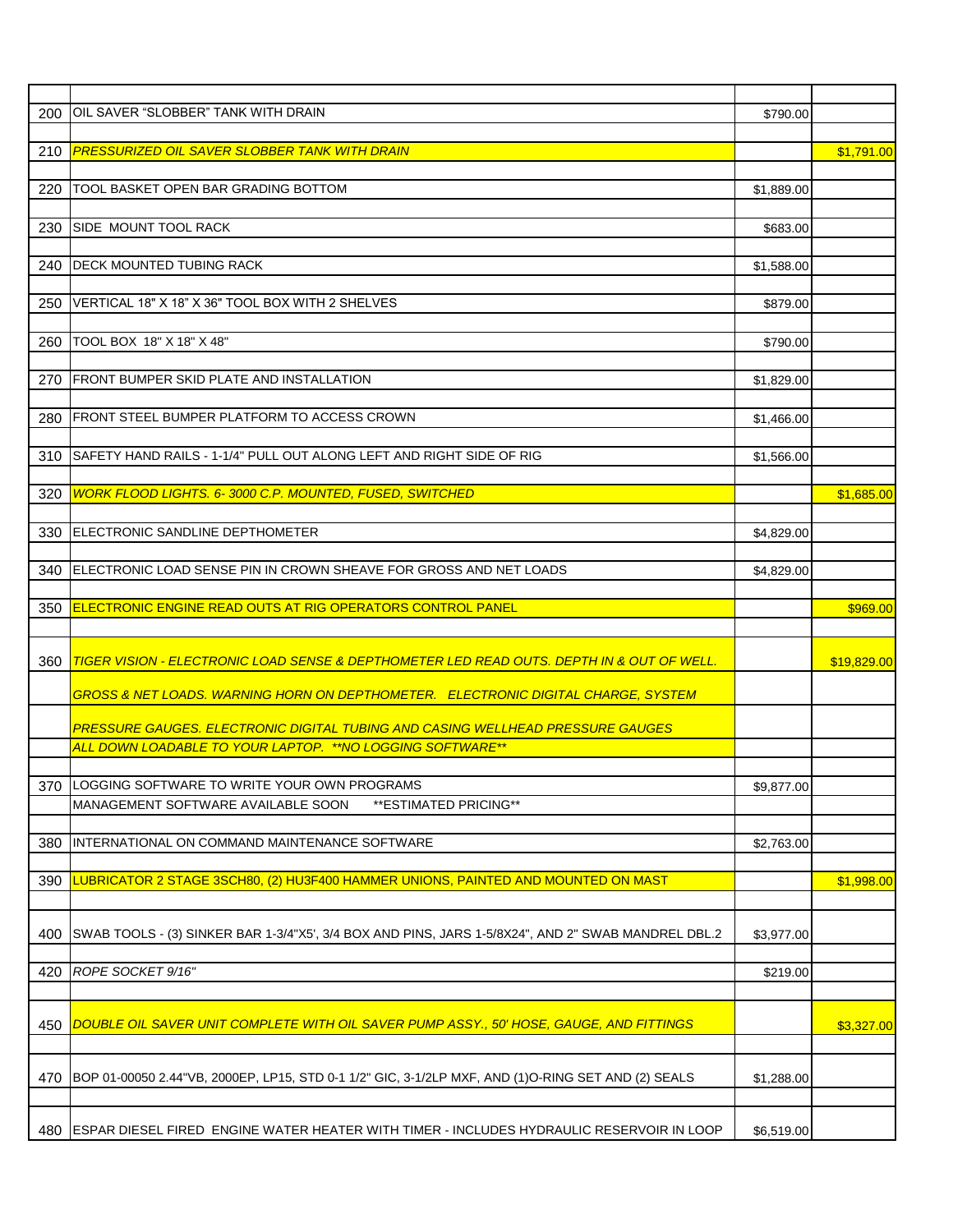| 200 | OIL SAVER "SLOBBER" TANK WITH DRAIN                                                                            | \$790.00   |             |
|-----|----------------------------------------------------------------------------------------------------------------|------------|-------------|
|     |                                                                                                                |            |             |
| 210 | <b>PRESSURIZED OIL SAVER SLOBBER TANK WITH DRAIN</b>                                                           |            | \$1,791.00  |
| 220 | TOOL BASKET OPEN BAR GRADING BOTTOM                                                                            | \$1,889.00 |             |
|     |                                                                                                                |            |             |
| 230 | SIDE MOUNT TOOL RACK                                                                                           | \$683.00   |             |
|     |                                                                                                                |            |             |
| 240 | <b>DECK MOUNTED TUBING RACK</b>                                                                                | \$1,588.00 |             |
|     |                                                                                                                |            |             |
| 250 | VERTICAL 18" X 18" X 36" TOOL BOX WITH 2 SHELVES                                                               | \$879.00   |             |
|     |                                                                                                                |            |             |
| 260 | TOOL BOX 18" X 18" X 48"                                                                                       | \$790.00   |             |
| 270 | <b>FRONT BUMPER SKID PLATE AND INSTALLATION</b>                                                                | \$1,829.00 |             |
|     |                                                                                                                |            |             |
| 280 | FRONT STEEL BUMPER PLATFORM TO ACCESS CROWN                                                                    | \$1,466.00 |             |
|     |                                                                                                                |            |             |
| 310 | SAFETY HAND RAILS - 1-1/4" PULL OUT ALONG LEFT AND RIGHT SIDE OF RIG                                           | \$1,566.00 |             |
|     |                                                                                                                |            |             |
| 320 | <b>WORK FLOOD LIGHTS. 6-3000 C.P. MOUNTED, FUSED, SWITCHED</b>                                                 |            | \$1,685.00  |
|     |                                                                                                                |            |             |
| 330 | ELECTRONIC SANDLINE DEPTHOMETER                                                                                | \$4.829.00 |             |
| 340 | ELECTRONIC LOAD SENSE PIN IN CROWN SHEAVE FOR GROSS AND NET LOADS                                              | \$4,829.00 |             |
|     |                                                                                                                |            |             |
| 350 | <b>ELECTRONIC ENGINE READ OUTS AT RIG OPERATORS CONTROL PANEL</b>                                              |            | \$969.00    |
|     |                                                                                                                |            |             |
|     |                                                                                                                |            |             |
| 360 | TIGER VISION - ELECTRONIC LOAD SENSE & DEPTHOMETER LED READ OUTS. DEPTH IN & OUT OF WELL.                      |            | \$19,829.00 |
|     | GROSS & NET LOADS. WARNING HORN ON DEPTHOMETER. ELECTRONIC DIGITAL CHARGE, SYSTEM                              |            |             |
|     |                                                                                                                |            |             |
|     | PRESSURE GAUGES. ELECTRONIC DIGITAL TUBING AND CASING WELLHEAD PRESSURE GAUGES                                 |            |             |
|     | ALL DOWN LOADABLE TO YOUR LAPTOP. ** NO LOGGING SOFTWARE**                                                     |            |             |
|     |                                                                                                                |            |             |
|     | 370 LOGGING SOFTWARE TO WRITE YOUR OWN PROGRAMS<br>MANAGEMENT SOFTWARE AVAILABLE SOON<br>**ESTIMATED PRICING** | \$9,877.00 |             |
|     |                                                                                                                |            |             |
| 380 | INTERNATIONAL ON COMMAND MAINTENANCE SOFTWARE                                                                  | \$2,763.00 |             |
|     |                                                                                                                |            |             |
| 390 | <u>LUBRICATOR 2 STAGE 3SCH80, (2) HU3F400 HAMMER UNIONS, PAINTED AND MOUNTED ON MAST</u>                       |            | \$1,998.00  |
|     |                                                                                                                |            |             |
|     |                                                                                                                |            |             |
| 400 | SWAB TOOLS - (3) SINKER BAR 1-3/4"X5', 3/4 BOX AND PINS, JARS 1-5/8X24", AND 2" SWAB MANDREL DBL.2             | \$3,977.00 |             |
| 420 | ROPE SOCKET 9/16"                                                                                              | \$219.00   |             |
|     |                                                                                                                |            |             |
|     |                                                                                                                |            |             |
| 450 | DOUBLE OIL SAVER UNIT COMPLETE WITH OIL SAVER PUMP ASSY., 50' HOSE, GAUGE, AND FITTINGS                        |            | \$3,327.00  |
|     |                                                                                                                |            |             |
| 470 | BOP 01-00050 2.44"VB, 2000EP, LP15, STD 0-1 1/2" GIC, 3-1/2LP MXF, AND (1)O-RING SET AND (2) SEALS             | \$1,288.00 |             |
|     |                                                                                                                |            |             |
| 480 | ESPAR DIESEL FIRED ENGINE WATER HEATER WITH TIMER - INCLUDES HYDRAULIC RESERVOIR IN LOOP                       | \$6,519.00 |             |